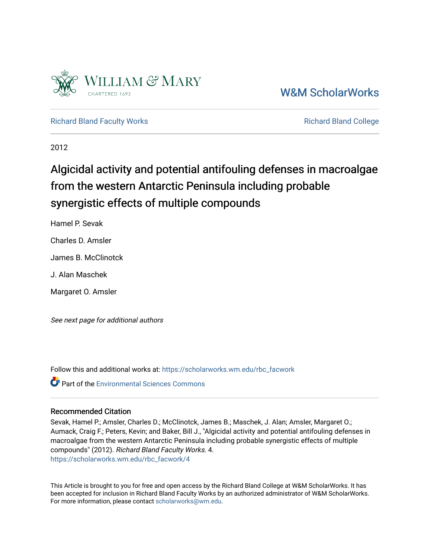

# [W&M ScholarWorks](https://scholarworks.wm.edu/)

[Richard Bland Faculty Works](https://scholarworks.wm.edu/rbc_facwork) **Richard Bland College** Richard Bland College

2012

# Algicidal activity and potential antifouling defenses in macroalgae from the western Antarctic Peninsula including probable synergistic effects of multiple compounds

Hamel P. Sevak

Charles D. Amsler

James B. McClinotck

J. Alan Maschek

Margaret O. Amsler

See next page for additional authors

Follow this and additional works at: [https://scholarworks.wm.edu/rbc\\_facwork](https://scholarworks.wm.edu/rbc_facwork?utm_source=scholarworks.wm.edu%2Frbc_facwork%2F4&utm_medium=PDF&utm_campaign=PDFCoverPages) 

**Part of the [Environmental Sciences Commons](http://network.bepress.com/hgg/discipline/167?utm_source=scholarworks.wm.edu%2Frbc_facwork%2F4&utm_medium=PDF&utm_campaign=PDFCoverPages)** 

## Recommended Citation

Sevak, Hamel P.; Amsler, Charles D.; McClinotck, James B.; Maschek, J. Alan; Amsler, Margaret O.; Aumack, Craig F.; Peters, Kevin; and Baker, Bill J., "Algicidal activity and potential antifouling defenses in macroalgae from the western Antarctic Peninsula including probable synergistic effects of multiple compounds" (2012). Richard Bland Faculty Works. 4. [https://scholarworks.wm.edu/rbc\\_facwork/4](https://scholarworks.wm.edu/rbc_facwork/4?utm_source=scholarworks.wm.edu%2Frbc_facwork%2F4&utm_medium=PDF&utm_campaign=PDFCoverPages) 

This Article is brought to you for free and open access by the Richard Bland College at W&M ScholarWorks. It has been accepted for inclusion in Richard Bland Faculty Works by an authorized administrator of W&M ScholarWorks. For more information, please contact [scholarworks@wm.edu](mailto:scholarworks@wm.edu).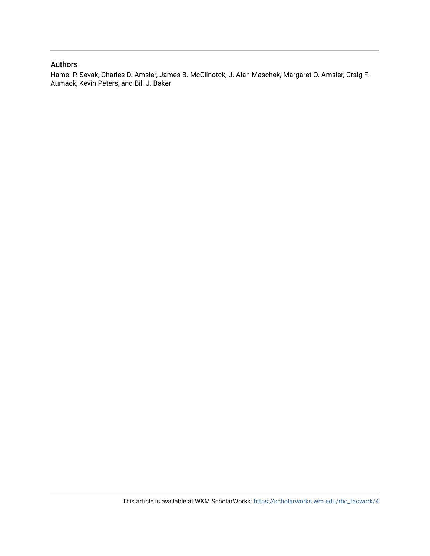# Authors

Hamel P. Sevak, Charles D. Amsler, James B. McClinotck, J. Alan Maschek, Margaret O. Amsler, Craig F. Aumack, Kevin Peters, and Bill J. Baker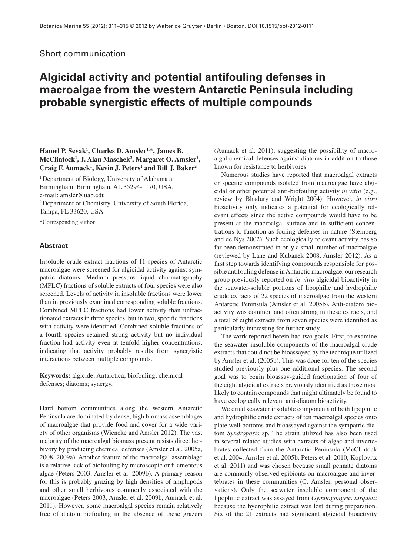### Short communication

# **Algicidal activity and potential antifouling defenses in macroalgae from the western Antarctic Peninsula including probable synergistic effects of multiple compounds**

### Hamel P. Sevak<sup>1</sup>, Charles D. Amsler<sup>1,\*</sup>, James B. McClintock<sup>1</sup>, J. Alan Maschek<sup>2</sup>, Margaret O. Amsler<sup>1</sup>, Craig F. Aumack<sup>1</sup>, Kevin J. Peters<sup>1</sup> and Bill J. Baker<sup>2</sup>

<sup>1</sup> Department of Biology, University of Alabama at Birmingham, Birmingham, AL 35294-1170, USA, e-mail: amsler@uab.edu

2 Department of Chemistry , University of South Florida, Tampa, FL 33620, USA

\*Corresponding author

### **Abstract**

 Insoluble crude extract fractions of 11 species of Antarctic macroalgae were screened for algicidal activity against sympatric diatoms. Medium pressure liquid chromatography (MPLC) fractions of soluble extracts of four species were also screened. Levels of activity in insoluble fractions were lower than in previously examined corresponding soluble fractions. Combined MPLC fractions had lower activity than unfractionated extracts in three species, but in two, specific fractions with activity were identified. Combined soluble fractions of a fourth species retained strong activity but no individual fraction had activity even at tenfold higher concentrations, indicating that activity probably results from synergistic interactions between multiple compounds.

**Keywords:** algicide; Antarctica; biofouling; chemical defenses; diatoms; synergy.

 Hard bottom communities along the western Antarctic Peninsula are dominated by dense, high biomass assemblages of macroalgae that provide food and cover for a wide variety of other organisms (Wiencke and Amsler 2012). The vast majority of the macroalgal biomass present resists direct herbivory by producing chemical defenses (Amsler et al. 2005a, 2008, 2009a). Another feature of the macroalgal assemblage is a relative lack of biofouling by microscopic or filamentous algae (Peters 2003, Amsler et al. 2009b). A primary reason for this is probably grazing by high densities of amphipods and other small herbivores commonly associated with the macroalgae (Peters 2003, Amsler et al. 2009b, Aumack et al. 2011 ). However, some macroalgal species remain relatively free of diatom biofouling in the absence of these grazers (Aumack et al. 2011), suggesting the possibility of macroalgal chemical defenses against diatoms in addition to those known for resistance to herbivores.

 Numerous studies have reported that macroalgal extracts or specific compounds isolated from macroalgae have algicidal or other potential anti-biofouling activity *in vitro* (e.g., review by Bhadury and Wright 2004). However, *in vitro* bioactivity only indicates a potential for ecologically relevant effects since the active compounds would have to be present at the macroalgal surface and in sufficient concentrations to function as fouling defenses in nature (Steinberg and de Nys 2002). Such ecologically relevant activity has so far been demonstrated in only a small number of macroalgae (reviewed by Lane and Kubanek 2008, Amsler 2012). As a first step towards identifying compounds responsible for possible antifouling defense in Antarctic macroalgae, our research group previously reported on *in vitro* algicidal bioactivity in the seawater-soluble portions of lipophilic and hydrophilic crude extracts of 22 species of macroalgae from the western Antarctic Peninsula (Amsler et al. 2005b). Anti-diatom bioactivity was common and often strong in these extracts, and a total of eight extracts from seven species were identified as particularly interesting for further study.

 The work reported herein had two goals. First, to examine the seawater insoluble components of the macroalgal crude extracts that could not be bioassayed by the technique utilized by Amsler et al. (2005b). This was done for ten of the species studied previously plus one additional species. The second goal was to begin bioassay-guided fractionation of four of the eight algicidal extracts previously identified as those most likely to contain compounds that might ultimately be found to have ecologically relevant anti-diatom bioactivity.

 We dried seawater insoluble components of both lipophilic and hydrophilic crude extracts of ten macroalgal species onto plate well bottoms and bioassayed against the sympatric diatom *Syndroposis* sp. The strain utilized has also been used in several related studies with extracts of algae and invertebrates collected from the Antarctic Peninsula (McClintock et al. 2004, Amsler et al. 2005b, Peters et al. 2010, Koplovitz et al. 2011) and was chosen because small pennate diatoms are commonly observed epibionts on macroalgae and invertebrates in these communities (C. Amsler, personal observations). Only the seawater insoluble component of the lipophilic extract was assayed from *Gymnogongrus turquetii* because the hydrophilic extract was lost during preparation. Six of the 21 extracts had significant algicidal bioactivity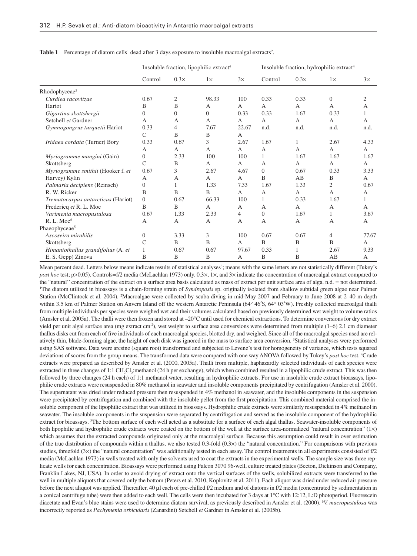|                                    | Insoluble fraction, lipophilic extract <sup>4</sup> |                |           |                | Insoluble fraction, hydrophilic extract <sup>4</sup> |              |                |                |
|------------------------------------|-----------------------------------------------------|----------------|-----------|----------------|------------------------------------------------------|--------------|----------------|----------------|
|                                    | Control                                             | $0.3\times$    | $1\times$ | 3x             | Control                                              | $0.3\times$  | $1\times$      | 3x             |
| Rhodophyceae <sup>5</sup>          |                                                     |                |           |                |                                                      |              |                |                |
| Curdiea racovitzae                 | 0.67                                                | $\mathfrak{2}$ | 98.33     | 100            | 0.33                                                 | 0.33         | $\theta$       | $\overline{2}$ |
| Hariot                             | B                                                   | B              | A         | A              | $\mathbf{A}$                                         | $\mathsf{A}$ | $\overline{A}$ | A              |
| Gigartina skottsbergii             | $\theta$                                            | $\overline{0}$ | $\Omega$  | 0.33           | 0.33                                                 | 1.67         | 0.33           | 1              |
| Setchell et Gardner                | A                                                   | A              | A         | A              | A                                                    | A            | A              | A              |
| Gymnogongrus turquetii Hariot      | 0.33                                                | 4              | 7.67      | 22.67          | n.d.                                                 | n.d.         | n.d.           | n.d.           |
|                                    | $\mathcal{C}$                                       | B              | B         | A              |                                                      |              |                |                |
| Iridaea cordata (Turner) Bory      | 0.33                                                | 0.67           | 3         | 2.67           | 1.67                                                 | 1            | 2.67           | 4.33           |
|                                    | A                                                   | A              | A         | A              | A                                                    | A            | A              | A              |
| Myriogramme mangini (Gain)         | $\overline{0}$                                      | 2.33           | 100       | 100            | 1                                                    | 1.67         | 1.67           | 1.67           |
| Skottsberg                         | C                                                   | B              | A         | A              | A                                                    | A            | A              | A              |
| Myriogramme smithii (Hooker f. et  | 0.67                                                | 3              | 2.67      | 4.67           | $\Omega$                                             | 0.67         | 0.33           | 3.33           |
| Harvey) Kylin                      | $\mathsf{A}$                                        | A              | A         | A              | B                                                    | AB           | B              | A              |
| Palmaria decipiens (Reinsch)       | $\theta$                                            | 1              | 1.33      | 7.33           | 1.67                                                 | 1.33         | 2              | 0.67           |
| R. W. Ricker                       | B                                                   | B              | B         | A              | A                                                    | $\mathsf{A}$ | A              | A              |
| Trematocarpus antarcticus (Hariot) | $\overline{0}$                                      | 0.67           | 66.33     | 100            | 1                                                    | 0.33         | 1.67           | 1              |
| Fredericq et R. L. Moe             | B                                                   | B              | A         | A              | A                                                    | A            | $\mathbf{A}$   | A              |
| Varimenia macropustulosa           | 0.67                                                | 1.33           | 2.33      | $\overline{4}$ | $\Omega$                                             | 1.67         | 1              | 3.67           |
| R.L. Moe <sup>6</sup>              | A                                                   | A              | A         | A              | A                                                    | A            | A              | A              |
| Phaeophyceae <sup>5</sup>          |                                                     |                |           |                |                                                      |              |                |                |
| Ascoseira mirabilis                | $\Omega$                                            | 3.33           | 3         | 100            | 0.67                                                 | 0.67         | $\overline{4}$ | 77.67          |
| Skottsberg                         | C                                                   | B              | B         | A              | B                                                    | B            | B              | A              |
| Himantothallus grandifolius (A. et |                                                     | 0.67           | 0.67      | 97.67          | 0.33                                                 |              | 2.67           | 9.33           |
| E. S. Gepp) Zinova                 | B                                                   | B              | B         | A              | B                                                    | B            | AB             | A              |

**Table 1** Percentage of diatom cells<sup>1</sup> dead after 3 days exposure to insoluble macroalgal extracts<sup>2</sup>.

Mean percent dead. Letters below means indicate results of statistical analyses<sup>3</sup>; means with the same letters are not statistically different (Tukey's *post hoc* test; p>0.05). Controls=f/2 media (McLachlan 1973) only. 0.3×, 1×, and 3× indicate the concentration of macroalgal extract compared to the "natural" concentration of the extract on a surface area basis calculated as mass of extract per unit surface area of alga. n.d. = not determined. The diatom utilized in bioassays is a chain-forming strain of *Syndroposis* sp. originally isolated from shallow subtidal green algae near Palmer Station (McClintock et al. 2004). <sup>2</sup>Macroalgae were collected by scuba diving in mid-May 2007 and February to June 2008 at 2-40 m depth within 3.5 km of Palmer Station on Anvers Island off the western Antarctic Peninsula (64° 46′S, 64° 03′W). Freshly collected macroalgal thalli from multiple individuals per species were weighed wet and their volumes calculated based on previously determined wet weight to volume ratios (Amsler et al. 2005a). The thalli were then frozen and stored at  $-20^{\circ}$ C until used for chemical extractions. To determine conversions for dry extract yield per unit algal surface area (mg extract cm<sup>-2</sup>), wet weight to surface area conversions were determined from multiple  $(1-6)$  2.1 cm diameter thallus disks cut from each of five individuals of each macroalgal species, blotted dry, and weighed. Since all of the macroalgal species used are relatively thin, blade-forming algae, the height of each disk was ignored in the mass to surface area conversion. <sup>3</sup>Statistical analyses were performed using SAS software. Data were arcsine (square root) transformed and subjected to Levene's test for homogeneity of variance, which tests squared deviations of scores from the group means. The transformed data were compared with one way ANOVA followed by Tukey's post hoc test. <sup>4</sup>Crude extracts were prepared as described by Amsler et al. (2000, 2005a) . Thalli from multiple, haphazardly selected individuals of each species were extracted in three changes of 1:1 CH<sub>2</sub>Cl<sub>2</sub>:methanol (24 h per exchange), which when combined resulted in a lipophilic crude extract. This was then followed by three changes (24 h each) of 1:1 methanol:water, resulting in hydrophilic extracts. For use in insoluble crude extract bioassays, lipophilic crude extracts were resuspended in 80% methanol in seawater and insoluble components precipitated by centrifugation (Amsler et al. 2000). The supernatant was dried under reduced pressure then resuspended in 4% methanol in seawater, and the insoluble components in the suspension were precipitated by centrifugation and combined with the insoluble pellet from the first precipitation. This combined material comprised the insoluble component of the lipophilic extract that was utilized in bioassays. Hydrophilic crude extracts were similarly resuspended in 4 % methanol in seawater. The insoluble components in the suspension were separated by centrifugation and served as the insoluble component of the hydrophilic extract for bioassays. <sup>5</sup>The bottom surface of each well acted as a substitute for a surface of each algal thallus. Seawater-insoluble components of both lipophilic and hydrophilic crude extracts were coated on the bottom of the well at the surface area-normalized "natural concentration"  $(1 \times)$ which assumes that the extracted compounds originated only at the macroalgal surface. Because this assumption could result in over estimation of the true distribution of compounds within a thallus, we also tested 0.3-fold  $(0.3 \times)$  the "natural concentration." For comparisons with previous studies, threefold  $(3 \times)$  the "natural concentration" was additionally tested in each assay. The control treatments in all experiments consisted of f/2 media (McLachlan 1973 ) in wells treated with only the solvents used to coat the extracts in the experimental wells. The sample size was three replicate wells for each concentration. Bioassays were performed using Falcon 3070 96-well, culture treated plates (Becton, Dickinson and Company, Franklin Lakes, NJ, USA). In order to avoid drying of extract onto the vertical surfaces of the wells, solubilized extracts were transferred to the well in multiple aliquots that covered only the bottom (Peters et al. 2010, Koplovitz et al. 2011). Each aliquot was dried under reduced air pressure before the next aliquot was applied. Thereafter, 40 μ l each of pre-chilled f/2 medium and of diatoms in f/2 media (concentrated by sedimentation in a conical centrifuge tube) were then added to each well. The cells were then incubated for 3 days at 1°C with 12:12, L:D photoperiod. Fluorescein diacetate and Evan's blue stains were used to determine diatom survival, as previously described in Amsler et al. (2000). <sup>6</sup>V. *macropustulosa* was incorrectly reported as *Pachymenia orbicularis* (Zanardini) Setchell *et* Gardner in Amsler et al. (2005b) .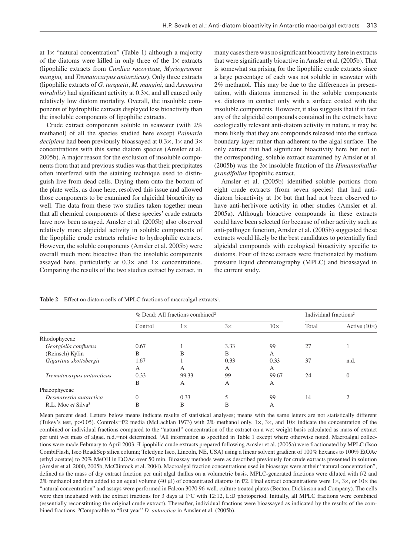at  $1 \times$  "natural concentration" (Table 1) although a majority of the diatoms were killed in only three of the  $1 \times$  extracts (lipophilic extracts from *Curdiea racovitzae, Myriogramme mangini,* and *Trematocarpus antarcticus* ). Only three extracts (lipophilic extracts of *G. turquetii* , *M. mangini,* and *Ascoseira mirabilis*) had significant activity at 0.3×, and all caused only relatively low diatom mortality. Overall, the insoluble components of hydrophilic extracts displayed less bioactivity than the insoluble components of lipophilic extracts.

Crude extract components soluble in seawater (with 2%) methanol) of all the species studied here except *Palmaria decipiens* had been previously bioassayed at 0.3×, 1× and 3× concentrations with this same diatom species (Amsler et al. 2005b). A major reason for the exclusion of insoluble components from that and previous studies was that their precipitates often interfered with the staining technique used to distinguish live from dead cells. Drying them onto the bottom of the plate wells, as done here, resolved this issue and allowed those components to be examined for algicidal bioactivity as well. The data from these two studies taken together mean that all chemical components of these species' crude extracts have now been assayed. Amsler et al. (2005b) also observed relatively more algicidal activity in soluble components of the lipophilic crude extracts relative to hydrophilic extracts. However, the soluble components (Amsler et al. 2005b) were overall much more bioactive than the insoluble components assayed here, particularly at  $0.3 \times$  and  $1 \times$  concentrations. Comparing the results of the two studies extract by extract, in

many cases there was no significant bioactivity here in extracts that were significantly bioactive in Amsler et al. (2005b). That is somewhat surprising for the lipophilic crude extracts since a large percentage of each was not soluble in seawater with 2 % methanol. This may be due to the differences in presentation, with diatoms immersed in the soluble components vs. diatoms in contact only with a surface coated with the insoluble components. However, it also suggests that if in fact any of the algicidal compounds contained in the extracts have ecologically relevant anti-diatom activity in nature, it may be more likely that they are compounds released into the surface boundary layer rather than adherent to the algal surface. The only extract that had significant bioactivity here but not in the corresponding, soluble extract examined by Amsler et al. (2005b) was the  $3 \times$  insoluble fraction of the *Himantothallus grandifolius* lipophilic extract.

Amsler et al. (2005b) identified soluble portions from eight crude extracts (from seven species) that had antidiatom bioactivity at  $1 \times$  but that had not been observed to have anti-herbivore activity in other studies (Amsler et al. 2005a). Although bioactive compounds in these extracts could have been selected for because of other activity such as anti-pathogen function, Amsler et al. (2005b) suggested these extracts would likely be the best candidates to potentially find algicidal compounds with ecological bioactivity specific to diatoms. Four of these extracts were fractionated by medium pressure liquid chromatography (MPLC) and bioassayed in the current study.

|                                |          | % Dead; All fractions combined <sup>2</sup> | Individual fractions <sup>2</sup> |            |       |                     |
|--------------------------------|----------|---------------------------------------------|-----------------------------------|------------|-------|---------------------|
|                                | Control  | $1\times$                                   | $3\times$                         | $10\times$ | Total | Active $(10\times)$ |
| Rhodophyceae                   |          |                                             |                                   |            |       |                     |
| Georgiella confluens           | 0.67     |                                             | 3.33                              | 99         | 27    |                     |
| (Reinsch) Kylin                | B        | B                                           | B                                 | A          |       |                     |
| Gigartina skottsbergii         | 1.67     |                                             | 0.33                              | 0.33       | 37    | n.d.                |
|                                | A        | А                                           | A                                 | A          |       |                     |
| Trematocarpus antarcticus      | 0.33     | 99.33                                       | 99                                | 99.67      | 24    | $\theta$            |
|                                | B        | A                                           | A                                 | A          |       |                     |
| Phaeophyceae                   |          |                                             |                                   |            |       |                     |
| Desmarestia antarctica         | $\Omega$ | 0.33                                        | 5                                 | 99         | 14    |                     |
| R.L. Moe et Silva <sup>3</sup> | B        | B                                           | В                                 | А          |       |                     |

Table 2 Effect on diatom cells of MPLC fractions of macroalgal extracts<sup>1</sup>.

 Mean percent dead. Letters below means indicate results of statistical analyses; means with the same letters are not statistically different (Tukey's test, p>0.05). Controls=f/2 media (McLachlan 1973) with 2% methanol only. 1×, 3×, and 10× indicate the concentration of the combined or individual fractions compared to the "natural" concentration of the extract on a wet weight basis calculated as mass of extract per unit wet mass of algae. n.d.=not determined. <sup>1</sup>All information as specified in Table 1 except where otherwise noted. Macroalgal collections were made February to April 2003. 2 Lipophilic crude extracts prepared following Amsler et al. (2005a) were fractionated by MPLC (Isco CombiFlash, Isco ReadiSep silica column; Teledyne Isco, Lincoln, NE, USA) using a linear solvent gradient of 100% hexanes to 100% EtOAc (ethyl acetate) to 20% MeOH in EtOAc over 50 min. Bioassay methods were as described previously for crude extracts presented in solution (Amsler et al. 2000, 2005b, McClintock et al. 2004). Macroalgal fraction concentrations used in bioassays were at their "natural concentration", defined as the mass of dry extract fraction per unit algal thallus on a volumetric basis. MPLC-generated fractions were diluted with f/2 and 2% methanol and then added to an equal volume (40 μl) of concentrated diatoms in f/2. Final extract concentrations were 1×, 3×, or 10× the "natural concentration" and assays were performed in Falcon 3070 96-well, culture treated plates (Becton, Dickinson and Company). The cells were then incubated with the extract fractions for 3 days at 1°C with 12:12, L:D photoperiod. Initially, all MPLC fractions were combined (essentially reconstituting the original crude extract). Thereafter, individual fractions were bioassayed as indicated by the results of the combined fractions. <sup>3</sup>Comparable to "first year" *D. antarctica* in Amsler et al. (2005b).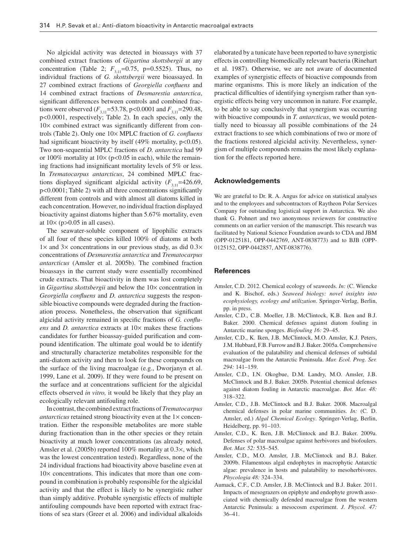No algicidal activity was detected in bioassays with 37 combined extract fractions of *Gigartina skottsbergii* at any concentration (Table 2;  $F_{3,11} = 0.75$ , p=0.5525). Thus, no individual fractions of *G. skottsbergii* were bioassayed. In 27 combined extract fractions of *Georgiella confluens* and 14 combined extract fractions of *Desmarestia antarctica* , significant differences between controls and combined fractions were observed  $(F_{3,11} = 53.78, p < 0.0001$  and  $F_{3,11} = 290.48$ , p<0.0001, respectively; Table 2). In each species, only the  $10\times$  combined extract was significantly different from controls (Table 2). Only one 10× MPLC fraction of *G. confluens* had significant bioactivity by itself  $(49\%$  mortality, p<0.05). Two non-sequential MPLC fractions of *D. antarctica* had 99 or 100% mortality at  $10 \times (p<0.05$  in each), while the remaining fractions had insignificant mortality levels of 5% or less. In *Trematocarpus antarcticus* , 24 combined MPLC fractions displayed significant algicidal activity  $(F_{3,11} = 426.69)$ ,  $p<0.0001$ ; Table 2) with all three concentrations significantly different from controls and with almost all diatoms killed in each concentration. However, no individual fraction displayed bioactivity against diatoms higher than 5.67% mortality, even at  $10 \times (p > 0.05$  in all cases).

 The seawater-soluble component of lipophilic extracts of all four of these species killed 100% of diatoms at both  $1 \times$  and  $3 \times$  concentrations in our previous study, as did  $0.3 \times$ concentrations of *Desmarestia antarctica* and *Trematocarpus antarcticus* (Amsler et al. 2005b). The combined fraction bioassays in the current study were essentially recombined crude extracts. That bioactivity in them was lost completely in *Gigartina skottsbergii* and below the 10× concentration in *Georgiella confluens* and *D. antarctica* suggests the responsible bioactive compounds were degraded during the fractionation process. Nonetheless, the observation that significant algicidal activity remained in specific fractions of *G. confluens* and *D. antarctica* extracts at  $10\times$  makes these fractions candidates for further bioassay-guided purification and compound identification. The ultimate goal would be to identify and structurally characterize metabolites responsible for the anti-diatom activity and then to look for these compounds on the surface of the living macroalgae (e.g., Dworjanyn et al. 1999, Lane et al. 2009). If they were found to be present on the surface and at concentrations sufficient for the algicidal effects observed *in vitro,* it would be likely that they play an ecologically relevant antifouling role.

 In contrast, the combined extract fractions of *Trematocarpus antarcticus* retained strong bioactivity even at the  $1 \times$  concentration. Either the responsible metabolites are more stable during fractionation than in the other species or they retain bioactivity at much lower concentrations (as already noted, Amsler et al. (2005b) reported 100% mortality at  $0.3 \times$ , which was the lowest concentration tested). Regardless, none of the 24 individual fractions had bioactivity above baseline even at  $10\times$  concentrations. This indicates that more than one compound in combination is probably responsible for the algicidal activity and that the effect is likely to be synergistic rather than simply additive. Probable synergistic effects of multiple antifouling compounds have been reported with extract fractions of sea stars (Greer et al. 2006) and individual alkaloids elaborated by a tunicate have been reported to have synergistic effects in controlling biomedically relevant bacteria (Rinehart et al. 1987). Otherwise, we are not aware of documented examples of synergistic effects of bioactive compounds from marine organisms. This is more likely an indication of the practical difficulties of identifying synergism rather than synergistic effects being very uncommon in nature. For example, to be able to say conclusively that synergism was occurring with bioactive compounds in *T. antarcticus*, we would potentially need to bioassay all possible combinations of the 24 extract fractions to see which combinations of two or more of the fractions restored algicidal activity. Nevertheless, synergism of multiple compounds remains the most likely explanation for the effects reported here.

#### **Acknowledgements**

 We are grateful to Dr. R. A. Angus for advice on statistical analyses and to the employees and subcontractors of Raytheon Polar Services Company for outstanding logistical support in Antarctica. We also thank G. Pohnert and two anonymous reviewers for constructive comments on an earlier version of the manuscript. This research was facilitated by National Science Foundation awards to CDA and JBM (OPP-0125181, OPP-0442769, ANT-0838773) and to BJB (OPP-0125152, OPP-0442857, ANT-0838776).

#### **References**

- Amsler, C.D. 2012. Chemical ecology of seaweeds. *In:* (C. Wiencke and K. Bischof, eds.) *Seaweed biology: novel insights into ecophysiology, ecology and utilization* . Springer-Verlag, Berlin, pp. in press .
- Amsler, C.D., C.B. Moeller, J.B. McClintock, K.B. Iken and B.J. Baker. 2000. Chemical defenses against diatom fouling in Antarctic marine sponges. *Biofouling 16:* 29-45.
- Amsler, C.D., K. Iken, J.B. McClintock, M.O. Amsler, K.J. Peters, J.M. Hubbard, F.B. Furrow and B.J. Baker. 2005a. Comprehensive evaluation of the palatability and chemical defenses of subtidal macroalgae from the Antarctic Peninsula. *Mar. Ecol. Prog. Ser.* 294: 141-159.
- Amsler, C.D., I.N. Okogbue, D.M. Landry, M.O. Amsler, J.B. McClintock and B.J. Baker. 2005b. Potential chemical defenses against diatom fouling in Antarctic macroalgae. *Bot. Mar. 48:* 318 – 322.
- Amsler, C.D., J.B. McClintock and B.J. Baker. 2008. Macroalgal chemical defenses in polar marine communities. *In:* (C. D. Amsler, ed.) *Algal Chemical Ecology* . Springer-Verlag, Berlin, Heidelberg, pp. 91-103.
- Amsler, C.D., K. Iken, J.B. McClintock and B.J. Baker. 2009a. Defenses of polar macroalgae against herbivores and biofoulers. *Bot. Mar. 52:* 535 – 545.
- Amsler, C.D., M.O. Amsler, J.B. McClintock and B.J. Baker. 2009b. Filamentous algal endophytes in macrophytic Antarctic algae: prevalence in hosts and palatability to mesoherbivores. *Phycologia 48:* 324 – 334.
- Aumack, C.F., C.D. Amsler, J.B. McClintock and B.J. Baker. 2011. Impacts of mesograzers on epiphyte and endophyte growth associated with chemically defended macroalgae from the western Antarctic Peninsula: a mesocosm experiment. *J. Phycol. 47:*  $36 - 41$ .